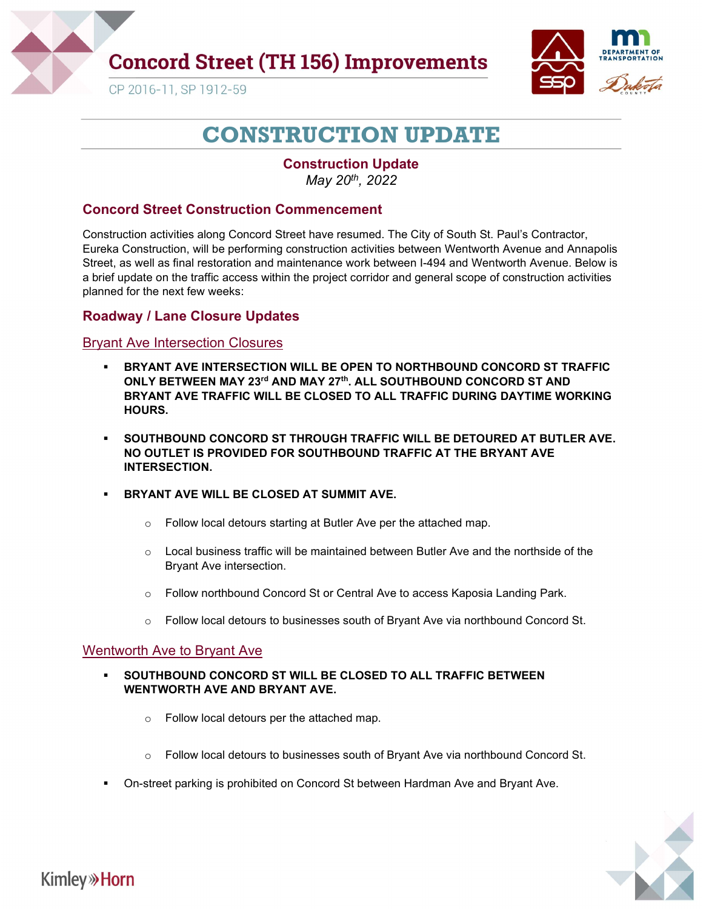

## **Concord Street (TH 156) Improvements**



CP 2016-11, SP 1912-59

# CONSTRUCTION UPDATE

Construction Update May 20th, 2022

### Concord Street Construction Commencement

Construction activities along Concord Street have resumed. The City of South St. Paul's Contractor, Eureka Construction, will be performing construction activities between Wentworth Avenue and Annapolis Street, as well as final restoration and maintenance work between I-494 and Wentworth Avenue. Below is a brief update on the traffic access within the project corridor and general scope of construction activities planned for the next few weeks:

### Roadway / Lane Closure Updates

#### Bryant Ave Intersection Closures

- BRYANT AVE INTERSECTION WILL BE OPEN TO NORTHBOUND CONCORD ST TRAFFIC ONLY BETWEEN MAY 23<sup>rd</sup> AND MAY 27<sup>th</sup>. ALL SOUTHBOUND CONCORD ST AND BRYANT AVE TRAFFIC WILL BE CLOSED TO ALL TRAFFIC DURING DAYTIME WORKING HOURS.
- **SOUTHBOUND CONCORD ST THROUGH TRAFFIC WILL BE DETOURED AT BUTLER AVE.** NO OUTLET IS PROVIDED FOR SOUTHBOUND TRAFFIC AT THE BRYANT AVE INTERSECTION.
- BRYANT AVE WILL BE CLOSED AT SUMMIT AVE.
	- o Follow local detours starting at Butler Ave per the attached map.
	- o Local business traffic will be maintained between Butler Ave and the northside of the Bryant Ave intersection.
	- o Follow northbound Concord St or Central Ave to access Kaposia Landing Park.
	- $\circ$  Follow local detours to businesses south of Bryant Ave via northbound Concord St.

#### Wentworth Ave to Bryant Ave

- SOUTHBOUND CONCORD ST WILL BE CLOSED TO ALL TRAFFIC BETWEEN WENTWORTH AVE AND BRYANT AVE.
	- o Follow local detours per the attached map.
	- o Follow local detours to businesses south of Bryant Ave via northbound Concord St.
- On-street parking is prohibited on Concord St between Hardman Ave and Bryant Ave.



## **Kimley**» Horn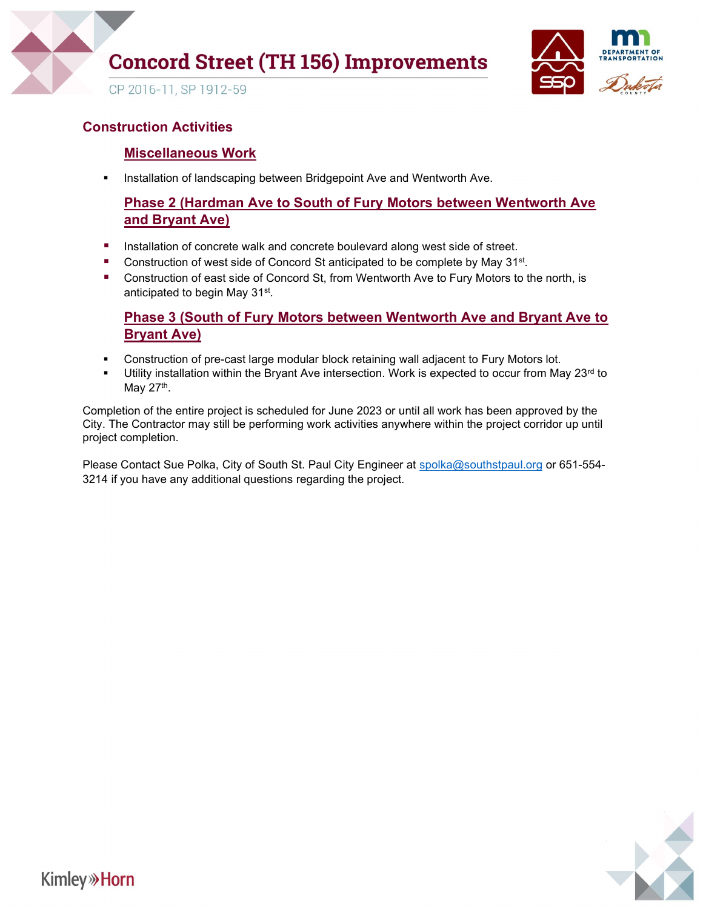

# **Concord Street (TH 156) Improvements**



CP 2016-11, SP 1912-59

### Construction Activities

### Miscellaneous Work

**Installation of landscaping between Bridgepoint Ave and Wentworth Ave.** 

### Phase 2 (Hardman Ave to South of Fury Motors between Wentworth Ave and Bryant Ave)

- **Installation of concrete walk and concrete boulevard along west side of street.**
- Construction of west side of Concord St anticipated to be complete by May 31<sup>st</sup>.
- **E** Construction of east side of Concord St, from Wentworth Ave to Fury Motors to the north, is anticipated to begin May 31<sup>st</sup>.

### Phase 3 (South of Fury Motors between Wentworth Ave and Bryant Ave to Bryant Ave)

- **Construction of pre-cast large modular block retaining wall adjacent to Fury Motors lot.**
- Utility installation within the Bryant Ave intersection. Work is expected to occur from May  $23<sup>rd</sup>$  to May 27<sup>th</sup>.

Completion of the entire project is scheduled for June 2023 or until all work has been approved by the City. The Contractor may still be performing work activities anywhere within the project corridor up until project completion.

Please Contact Sue Polka, City of South St. Paul City Engineer at spolka@southstpaul.org or 651-554-3214 if you have any additional questions regarding the project.